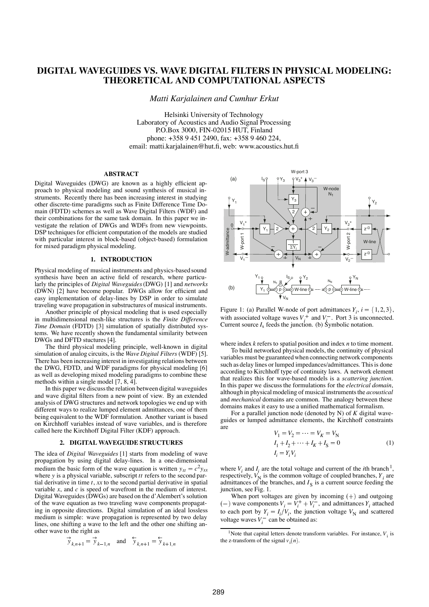# **DIGITAL WAVEGUIDES VS. WAVE DIGITAL FILTERS IN PHYSICAL MODELING: THEORETICAL AND COMPUTATIONAL ASPECTS**

*Matti Karjalainen and Cumhur Erkut*

Helsinki University of Technology Laboratory of Acoustics and Audio Signal Processing P.O.Box 3000, FIN-02015 HUT, Finland phone: +358 9 451 2490, fax: +358 9 460 224, email: matti.karjalainen@hut.fi, web: www.acoustics.hut.fi

# **ABSTRACT**

Digital Waveguides (DWG) are known as a highly efficient approach to physical modeling and sound synthesis of musical instruments. Recently there has been increasing interest in studying other discrete-time paradigms such as Finite Difference Time Domain (FDTD) schemes as well as Wave Digital Filters (WDF) and their combinations for the same task domain. In this paper we investigate the relation of DWGs and WDFs from new viewpoints. DSP techniques for efficient computation of the models are studied with particular interest in block-based (object-based) formulation for mixed paradigm physical modeling.

## **1. INTRODUCTION**

Physical modeling of musical instruments and physics-based sound synthesis have been an active field of research, where particularly the principles of *Digital Waveguides*(DWG) [1] and *networks* (DWN) [2] have become popular. DWGs allow for efficient and easy implementation of delay-lines by DSP in order to simulate traveling wave propagation in substructures of musical instruments.

Another principle of physical modeling that is used especially in multidimensional mesh-like structures is the *Finite Difference Time Domain* (FDTD) [3] simulation of spatially distributed systems. We have recently shown the fundamental similarity between DWGs and DFTD stuctures [4].

The third physical modeling principle, well-known in digital simulation of analog circuits, is the *Wave Digital Filters* (WDF) [5]. There has been increasing interest in investigating relations between the DWG, FDTD, and WDF paradigms for physical modeling [6] as well as developing mixed modeling paradigms to combine these methods within a single model [7, 8, 4].

In this paper we discussthe relation between digital waveguides and wave digital filters from a new point of view. By an extended analysis of DWG structures and network topologies we end up with different ways to realize lumped element admittances, one of them being equivalent to the WDF formulation. Another variant is based on Kirchhoff variables instead of wave variables, and is therefore called here the Kirchhoff Digital Filter (KDF) approach.

#### **2. DIGITAL WAVEGUIDE STRUCTURES**

The idea of *Digital Waveguides* [1] starts from modeling of wave propagation by using digital delay-lines. In a one-dimensional medium the basic form of the wave equation is written  $y_{tt} = c^2 y_{xx}$ where *y* is a physical variable, subscript *tt* refers to the second partial derivative in time *t*, *xx* to the second partial derivative in spatial variable *x*, and *c* is speed of wavefront in the medium of interest. Digital Waveguides (DWGs) are based on the d'Alembert's solution of the wave equation as two traveling wave components propagating in opposite directions. Digital simulation of an ideal lossless medium is simple: wave propagation is represented by two delay lines, one shifting a wave to the left and the other one shifting another wave to the right as

$$
\overrightarrow{y}_{k,n+1} = \overrightarrow{y}_{k-1,n} \text{ and } \overleftarrow{y}_{k,n+1} = \overleftarrow{y}_{k+1,n}
$$



Figure 1: (a) Parallel W-node of port admittances  $Y_i$ ,  $i = \{1, 2, 3\}$ , with associated voltage waves  $V_i^+$  and  $V_i^-$ . Port 3 is unconnected. Current source  $I_s$  feeds the junction. (b) Symbolic notation.

where index *k* refers to spatial position and index *n* to time moment.

To build networked physical models, the continuity of physical variables must be guaranteed when connecting network components such as delay lines or lumped impedances/admittances. This is done according to Kirchhoff type of continuity laws. A network element that realizes this for wave-based models is a *scattering junction*. In this paper we discuss the formulations for the *electrical domain*, although in physical modeling of musical instruments the *acoustical* and *mechanical* domains are common. The analogy between these domains makes it easy to use a unified mathematical formalism.

For a parallel junction node (denoted by N) of *K* digital waveguides or lumped admittance elements, the Kirchhoff constraints are  $V_1 = V_2 = \cdots =$ 

$$
V_1 = V_2 = \dots = V_K = V_N I_1 + I_2 + \dots + I_K + I_S = 0
$$
  

$$
I_i = Y_i V_i
$$
 (1)

where  $V_i$  and  $I_i$  are the total voltage and current of the *i*th branch<sup>1</sup>, respectively,  $V_N$  is the common voltage of coupled branches,  $Y_i$  are admittances of the branches, and  $I<sub>S</sub>$  is a current source feeding the junction, see Fig. 1.

When port voltages are given by incoming  $(+)$  and outgoing  $(v)$  wave components  $V_i = V_i^+ + V_i^-$ , and admittances  $Y_i$  attached to each port by  $Y_i = I_i/V_i$ , the junction voltage  $V_N$  and scattered voltage waves  $V_i^-$  can be obtained as:

<sup>&</sup>lt;sup>1</sup>Note that capital letters denote transform variables. For instance,  $V_i$  is the z-transform of the signal  $v_i(n)$ .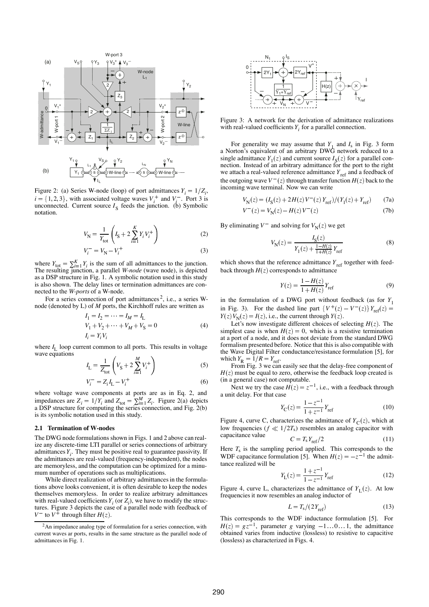

Figure 2: (a) Series W-node (loop) of port admittances  $Y_i = 1/Z_i$ ,  $i = \{1, 2, 3\}$ , with associated voltage waves  $V_i^+$  and  $V_i^-$ . Port 3 is unconnected. Current source  $I_S$  feeds the junction. (b) Symbolic notation.

$$
V_{\rm N} = \frac{1}{Y_{\rm tot}} \left( I_{\rm S} + 2 \sum_{i=1}^{K} Y_i V_i^+ \right) \tag{2}
$$

$$
V_i^- = V_N - V_i^+ \tag{3}
$$

where  $Y_{\text{tot}} = \sum_{i=1}^{K} Y_i$  is the sum of all admittances to the junction.<br>The resulting junction, a parallel *W-node* (wave node), is depicted as a DSP structure in Fig. 1. A symbolic notation used in this study is also shown. The delay lines or termination admittances are connected to the *W-ports* of a W-node.

For a series connection of port admittances<sup>2</sup>, i.e., a series Wnode (denoted by L) of *M* ports, the Kirchhoff rules are written as

$$
I_1 = I_2 = \dots = I_M = I_L
$$
  
\n
$$
V_1 + V_2 + \dots + V_M + V_S = 0
$$
  
\n
$$
I_i = Y_i V_i
$$
\n(4)

where  $I_L$  loop current common to all ports. This results in voltage wave equations  $\mathbf{v}$  and  $\mathbf{v}$  and  $\mathbf{v}$  and  $\mathbf{v}$ 

$$
I_{\rm L} = \frac{1}{Z_{\rm tot}} \left( V_{\rm S} + 2 \sum_{i=1}^{M} V_i^+ \right) \tag{5}
$$

$$
V_i^- = Z_i I_{\rm L} - V_i^+ \tag{6}
$$

where voltage wave components at ports are as in Eq. 2, and impedances are  $Z_i = 1/Y_i$  and  $Z_{\text{tot}} = \sum_{i=1}^{M} Z_i$ . Figure 2(a) depicts a DSP structure for computing the series connection, and Fig. 2(b) is its symbolic notation used in this study.

#### **2.1 Termination of W-nodes**

The DWG node formulations shown in Figs. 1 and 2 above can realize any discrete-time LTI parallel or series connections of arbitrary admittances  $Y_i$ . They must be positive real to guarantee passivity. If the admittances are real-valued (frequency-independent), the nodes are memoryless, and the computation can be optimized for a minumum number of operations such as multiplications.

While direct realization of arbitrary admittances in the formulations above looks convenient, it is often desirable to keep the nodes themselves memoryless. In order to realize arbitrary admittances with real-valued coefficients  $Y_i$  (or  $Z_i$ ), we have to modify the structures. Figure 3 depicts the case of a parallel node with feedback of  $V^-$  to  $V^+$  through filter  $H(z)$ *V*<sup> $-$ </sup> to *V*<sup> $+$ </sup> through filter *H*(*z*).



Figure 3: A network for the derivation of admittance realizations with real-valued coefficients  $Y_i$  for a parallel connection.

For generality we may assume that  $Y_1$  and  $I_s$  in Fig. 3 form a Norton's equivalent of an arbitrary DWG network reduced to a single admittance  $Y_1(z)$  and current source  $I_S(z)$  for a parallel connection. Instead of an arbitrary admittance for the port to the right we attach a real-valued reference admittance  $Y_{ref}$  and a feedback of the outgoing wave  $V^-(z)$  through transfer function  $H(z)$  back to the incoming wave terminal. Now we can write

$$
V_{\rm N}(z) = (I_{\rm S}(z) + 2H(z)V^-(z)Y_{\rm ref})/(Y_1(z) + Y_{\rm ref})
$$
 (7a)

$$
V^{-}(z) = V_{N}(z) - H(z)V^{-}(z)
$$
 (7b)

By eliminating  $V^-$  and solving for  $V_N(z)$  we get

$$
V_{\rm N}(z) = \frac{I_{\rm S}(z)}{Y_1(z) + \frac{1 - H(z)}{1 + H(z)} Y_{\rm ref}}
$$
(8)

which shows that the reference admittance  $Y_{ref}$  together with feedback through  $H(z)$  corresponds to admittance

$$
Y(z) = \frac{1 - H(z)}{1 + H(z)} Y_{\text{ref}}
$$
 (9)

in the formulation of a DWG port without feedback (as for  $Y_1$ in Fig. 3). For the dashed line part  $\{V^+(z) - V^-(z)\}Y_{ref}(z) =$  $Y(z) V_N(z) = I(z)$ , i.e., the current through  $Y(z)$ .

Let's now investigate different choices of selecting  $H(z)$ . The simplest case is when  $H(z) = 0$ , which is a resistive termination at a port of a node, and it does not deviate from the standard DWG formalism presented before. Notice that this is also compatible with the Wave Digital Filter conductance/resistance formulation [5], for which  $Y_R = 1/R = Y_{ref}$ .<br>From Fig. 3 we can easily see that the delay-free component of

 $H(z)$  must be equal to zero, otherwise the feedback loop created is (in a general case) not computable.

Next we try the case  $H(z) = z^{-z}$ <sup>-1</sup>, i.e., with a feedback through a unit delay. For that case

$$
Y_{\rm C}(z) = \frac{1 - z^{-1}}{1 + z^{-1}} Y_{\rm ref}
$$
 (10)

Figure 4, curve C, characterizes the admittance of  $Y_C(z)$ , which at low frequencies ( $f \ll 1/2T_s$ ) resembles an analog capacitor with  $c$ *apacitance value* 

$$
C = T_{\rm s} Y_{\rm ref}/2 \tag{11}
$$

Here  $T_s$  is the sampling period applied. This corresponds to the WDF capacitance formulation [5]. When  $H(z) = -z^{-1}$  the admittance realized will be

$$
Y_{\rm L}(z) = \frac{1+z^{-1}}{1-z^{-1}} Y_{\rm ref}
$$
 (12)

Figure 4, curve L, characterizes the admittance of  $Y_L(z)$ . At low frequencies it now resembles an analog inductor of

$$
L = T_{\rm s} / (2Y_{\rm ref}) \tag{13}
$$

This corresponds to the WDF inductance formulation [5]. For  $H(z) = gz^{-1}$ , parameter *g* varying  $-1 \dots 0 \dots 1$ , the admittance obtained varies from inductive (lossless) to resistive to capacitive (lossless) as characterized in Figs. 4.

<sup>2</sup>An impedance analog type of formulation for a series connection, with current waves ar ports, results in the same structure as the parallel node of admittances in Fig. 1.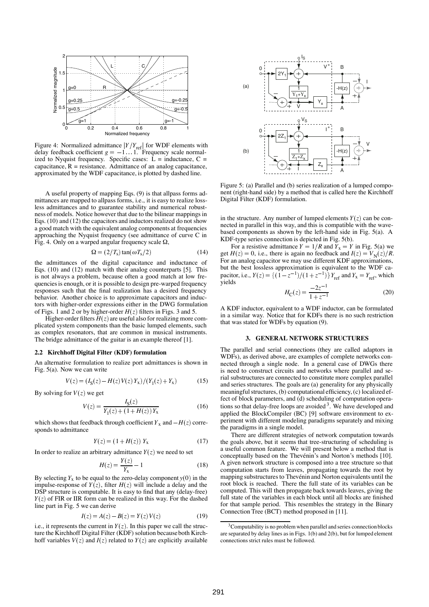

Figure 4: Normalized admittance  $|Y/Y_{\text{ref}}|$  for WDF elements with delay feedback coefficient  $g = -1 \dots 1$ . Frequency scale normalized to Nyquist frequency. Specific cases:  $L = \text{inductance}, C =$ capacitance,  $R =$  resistance. Admittance of an analog capacitance, approximated by the WDF capacitance, is plotted by dashed line.

A useful property of mapping Eqs. (9) is that allpass forms admittances are mapped to allpass forms, i.e., it is easy to realize lossless admittances and to guarantee stability and numerical robustness of models. Notice however that due to the bilinear mappings in Eqs. (10) and (12) the capacitors and inductors realized do not show a good match with the equivalent analog components at frequencies approaching the Nyquist frequency (see admittance of curve C in Fig. 4. Only on a warped angular frequency scale  $\Omega$ ,

$$
\Omega = (2/T_s) \tan(\omega T_s/2) \tag{14}
$$

the admittances of the digital capacitance and inductance of Eqs. (10) and (12) match with their analog counterparts [5]. This is not always a problem, because often a good match at low frequencies is enough, or it is possible to design pre-warped frequency responses such that the final realization has a desired frequency behavior. Another choice is to approximate capacitors and inductors with higher-order expressions either in the DWG formulation of Figs. 1 and 2 or by higher-order  $H(z)$  filters in Figs. 3 and 5.

Higher-order filters  $H(z)$  are useful also for realizing more complicated system components than the basic lumped elements, such as complex resonators, that are common in musical instruments. The bridge admittance of the guitar is an example thereof [1].

### **2.2 Kirchhoff Digital Filter (KDF) formulation**

An alternative formulation to realize port admittances is shown in Fig. 5(a). Now we can write

$$
V(z) = (IS(z) - H(z)V(z) Yx)/(Y1(z) + Yx)
$$
 (15)

By solving for  $V(z)$  we get

$$
V(z) = \frac{I_S(z)}{Y_1(z) + (1 + H(z))Y_x}
$$
(16)

which shows that feedback through coefficient  $Y_x$  and  $-H(z)$  corresponds to admittance

$$
Y(z) = (1 + H(z)) Y_{x}
$$
 (17)

In order to realize an arbitrary admittance  $Y(z)$  we need to set

$$
H(z) = \frac{Y(z)}{Y_{\rm x}} - 1\tag{18}
$$

By selecting  $Y_x$  to be equal to the zero-delay component  $y(0)$  in the impulse-response of  $Y(z)$ , filter  $H(z)$  will include a delay and the DSP structure is computable. It is easy to find that any (delay-free)  $Y(z)$  of FIR or IIR form can be realized in this way. For the dashed line part in Fig. 5 we can derive

$$
I(z) = A(z) - B(z) = Y(z) V(z)
$$
 (19)

i.e., it represents the current in  $Y(z)$ . In this paper we call the structure the Kirchhoff Digital Filter (KDF) solution because both Kirchhoff variables  $V(z)$  and  $I(z)$  related to  $Y(z)$  are explicitly available



Figure 5: (a) Parallel and (b) series realization of a lumped component (right-hand side) by a method that is called here the Kirchhoff Digital Filter (KDF) formulation.

in the structure. Any number of lumped elements  $Y(z)$  can be connected in parallel in this way, and this is compatible with the wavebased components as shown by the left-hand side in Fig. 5(a). A KDF-type series connection is depicted in Fig. 5(b).

For a resistive admittance  $Y = 1/R$  and  $Y_x = Y$  in Fig. 5(a) we get  $H(z) = 0$ , i.e., there is again no feedback and  $I(z) = V<sub>N</sub>(z)/R$ . For an analog capacitor we may use different KDF approximations, but the best lossless approximation is equivalent to the WDF capacitor, i.e.,  $Y(z) = \{(1 - z^{-1})/(1 + z^{-1})\} Y_{\text{ref}}$  and  $Y_x = Y_{\text{ref}}$ , which yields

$$
H_{\rm C}(z) = \frac{-2z^{-1}}{1+z^{-1}}\tag{20}
$$

A KDF inductor, equivalent to a WDF inductor, can be formulated in a similar way. Notice that for KDFs there is no such restriction that was stated for WDFs by equation (9).

# **3. GENERAL NETWORK STRUCTURES**

The parallel and serial connections (they are called adaptors in WDFs), as derived above, are examples of complete networks connected through a single node. In a general case of DWGs there is need to construct circuits and networks where parallel and serial substructures are connected to constitute more complex parallel and series structures. The goals are (a) generality for any physically meaningful structures, (b) computational efficiency, (c) localized effect of block parameters, and (d) scheduling of computation operations so that delay-free loops are avoided  $3$ . We have developed and applied the BlockCompiler (BC) [9] software environment to experiment with different modeling paradigms separately and mixing the paradigms in a single model.

There are different strategies of network computation towards the goals above, but it seems that tree-structuring of scheduling is a useful common feature. We will present below a method that is conceptually based on the Thevénin's and Norton's methods [10]. A given network structure is composed into a tree structure so that computation starts from leaves, propagating towards the root by mapping substructures to Thevénin and Norton equivalents until the root block is reached. There the full state of its variables can be computed. This will then propagate back towards leaves, giving the full state of the variables in each block until all blocks are finished for that sample period. This resembles the strategy in the Binary Connection Tree (BCT) method proposed in [11].

 $3$ Computability is no problem when parallel and series connection blocks are separated by delay lines as in Figs. 1(b) and 2(b), but for lumped element connections strict rules must be followed.